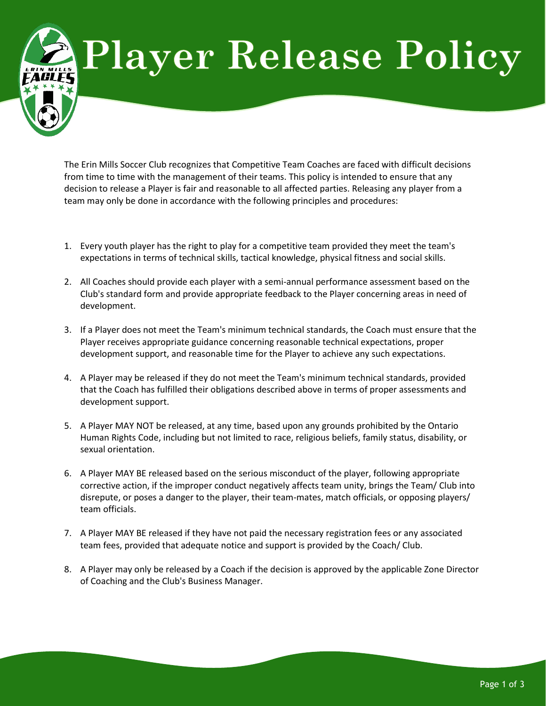## **Player Release Policy**

The Erin Mills Soccer Club recognizes that Competitive Team Coaches are faced with difficult decisions from time to time with the management of their teams. This policy is intended to ensure that any decision to release a Player is fair and reasonable to all affected parties. Releasing any player from a team may only be done in accordance with the following principles and procedures:

- 1. Every youth player has the right to play for a competitive team provided they meet the team's expectations in terms of technical skills, tactical knowledge, physical fitness and social skills.
- 2. All Coaches should provide each player with a semi-annual performance assessment based on the Club's standard form and provide appropriate feedback to the Player concerning areas in need of development.
- 3. If a Player does not meet the Team's minimum technical standards, the Coach must ensure that the Player receives appropriate guidance concerning reasonable technical expectations, proper development support, and reasonable time for the Player to achieve any such expectations.
- 4. A Player may be released if they do not meet the Team's minimum technical standards, provided that the Coach has fulfilled their obligations described above in terms of proper assessments and development support.
- 5. A Player MAY NOT be released, at any time, based upon any grounds prohibited by the Ontario Human Rights Code, including but not limited to race, religious beliefs, family status, disability, or sexual orientation.
- 6. A Player MAY BE released based on the serious misconduct of the player, following appropriate corrective action, if the improper conduct negatively affects team unity, brings the Team/ Club into disrepute, or poses a danger to the player, their team-mates, match officials, or opposing players/ team officials.
- 7. A Player MAY BE released if they have not paid the necessary registration fees or any associated team fees, provided that adequate notice and support is provided by the Coach/ Club.
- 8. A Player may only be released by a Coach if the decision is approved by the applicable Zone Director of Coaching and the Club's Business Manager.